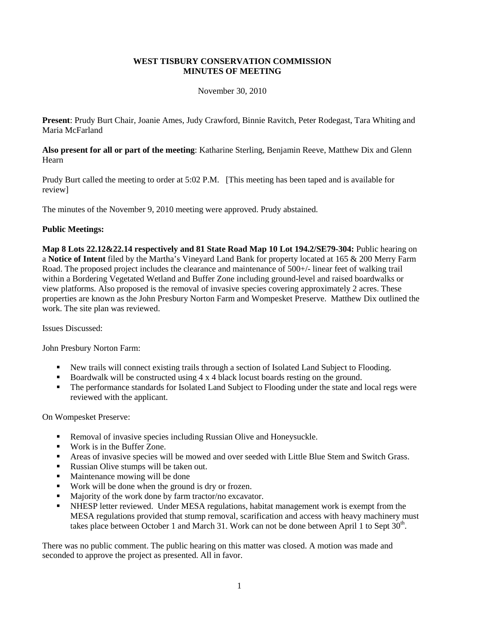### **WEST TISBURY CONSERVATION COMMISSION MINUTES OF MEETING**

### November 30, 2010

**Present**: Prudy Burt Chair, Joanie Ames, Judy Crawford, Binnie Ravitch, Peter Rodegast, Tara Whiting and Maria McFarland

**Also present for all or part of the meeting**: Katharine Sterling, Benjamin Reeve, Matthew Dix and Glenn Hearn

Prudy Burt called the meeting to order at 5:02 P.M. [This meeting has been taped and is available for review]

The minutes of the November 9, 2010 meeting were approved. Prudy abstained.

#### **Public Meetings:**

**Map 8 Lots 22.12&22.14 respectively and 81 State Road Map 10 Lot 194.2/SE79-304:** Public hearing on a **Notice of Intent** filed by the Martha's Vineyard Land Bank for property located at 165 & 200 Merry Farm Road. The proposed project includes the clearance and maintenance of 500+/- linear feet of walking trail within a Bordering Vegetated Wetland and Buffer Zone including ground-level and raised boardwalks or view platforms. Also proposed is the removal of invasive species covering approximately 2 acres. These properties are known as the John Presbury Norton Farm and Wompesket Preserve. Matthew Dix outlined the work. The site plan was reviewed.

Issues Discussed:

John Presbury Norton Farm:

- New trails will connect existing trails through a section of Isolated Land Subject to Flooding.
- Boardwalk will be constructed using  $4 \times 4$  black locust boards resting on the ground.
- The performance standards for Isolated Land Subject to Flooding under the state and local regs were reviewed with the applicant.

On Wompesket Preserve:

- **Removal of invasive species including Russian Olive and Honeysuckle.**
- Work is in the Buffer Zone.
- Areas of invasive species will be mowed and over seeded with Little Blue Stem and Switch Grass.
- Russian Olive stumps will be taken out.
- Maintenance mowing will be done
- Work will be done when the ground is dry or frozen.
- Majority of the work done by farm tractor/no excavator.
- NHESP letter reviewed. Under MESA regulations, habitat management work is exempt from the MESA regulations provided that stump removal, scarification and access with heavy machinery must takes place between October 1 and March 31. Work can not be done between April 1 to Sept  $30^{\text{th}}$ .

There was no public comment. The public hearing on this matter was closed. A motion was made and seconded to approve the project as presented. All in favor.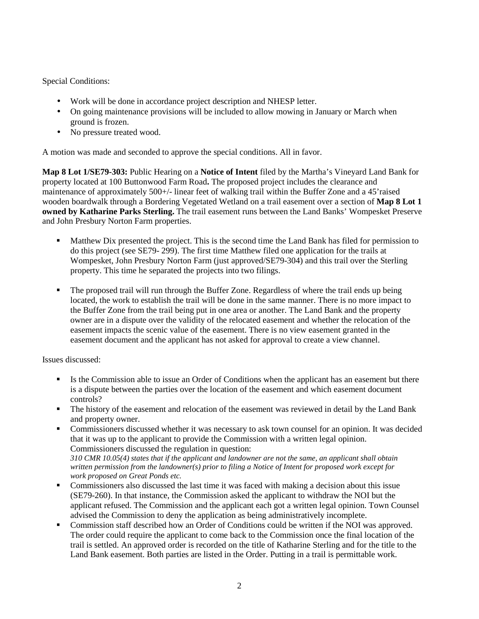Special Conditions:

- Work will be done in accordance project description and NHESP letter.
- On going maintenance provisions will be included to allow mowing in January or March when ground is frozen.
- No pressure treated wood.

A motion was made and seconded to approve the special conditions. All in favor.

**Map 8 Lot 1/SE79-303:** Public Hearing on a **Notice of Intent** filed by the Martha's Vineyard Land Bank for property located at 100 Buttonwood Farm Road**.** The proposed project includes the clearance and maintenance of approximately 500+/- linear feet of walking trail within the Buffer Zone and a 45'raised wooden boardwalk through a Bordering Vegetated Wetland on a trail easement over a section of **Map 8 Lot 1 owned by Katharine Parks Sterling.** The trail easement runs between the Land Banks' Wompesket Preserve and John Presbury Norton Farm properties.

- Matthew Dix presented the project. This is the second time the Land Bank has filed for permission to do this project (see SE79- 299). The first time Matthew filed one application for the trails at Wompesket, John Presbury Norton Farm (just approved/SE79-304) and this trail over the Sterling property. This time he separated the projects into two filings.
- The proposed trail will run through the Buffer Zone. Regardless of where the trail ends up being located, the work to establish the trail will be done in the same manner. There is no more impact to the Buffer Zone from the trail being put in one area or another. The Land Bank and the property owner are in a dispute over the validity of the relocated easement and whether the relocation of the easement impacts the scenic value of the easement. There is no view easement granted in the easement document and the applicant has not asked for approval to create a view channel.

Issues discussed:

- Is the Commission able to issue an Order of Conditions when the applicant has an easement but there is a dispute between the parties over the location of the easement and which easement document controls?
- The history of the easement and relocation of the easement was reviewed in detail by the Land Bank and property owner.
- Commissioners discussed whether it was necessary to ask town counsel for an opinion. It was decided that it was up to the applicant to provide the Commission with a written legal opinion. Commissioners discussed the regulation in question: *310 CMR 10.05(4) states that if the applicant and landowner are not the same, an applicant shall obtain written permission from the landowner(s) prior to filing a Notice of Intent for proposed work except for work proposed on Great Ponds etc.*
- Commissioners also discussed the last time it was faced with making a decision about this issue (SE79-260). In that instance, the Commission asked the applicant to withdraw the NOI but the applicant refused. The Commission and the applicant each got a written legal opinion. Town Counsel advised the Commission to deny the application as being administratively incomplete.
- Commission staff described how an Order of Conditions could be written if the NOI was approved. The order could require the applicant to come back to the Commission once the final location of the trail is settled. An approved order is recorded on the title of Katharine Sterling and for the title to the Land Bank easement. Both parties are listed in the Order. Putting in a trail is permittable work.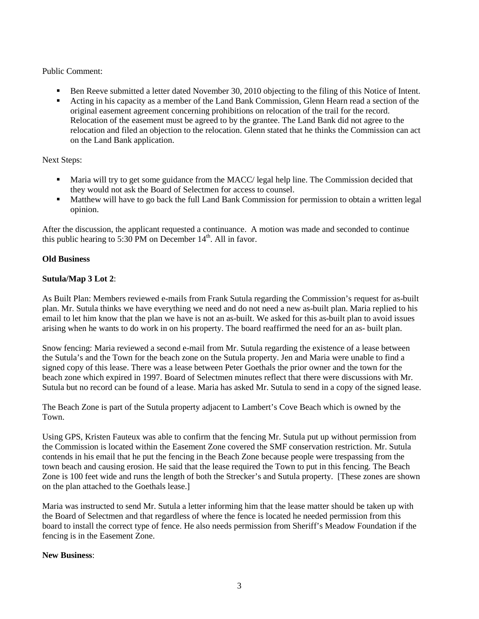# Public Comment:

- Ben Reeve submitted a letter dated November 30, 2010 objecting to the filing of this Notice of Intent.
- Acting in his capacity as a member of the Land Bank Commission, Glenn Hearn read a section of the original easement agreement concerning prohibitions on relocation of the trail for the record. Relocation of the easement must be agreed to by the grantee. The Land Bank did not agree to the relocation and filed an objection to the relocation. Glenn stated that he thinks the Commission can act on the Land Bank application.

## Next Steps:

- Maria will try to get some guidance from the MACC/ legal help line. The Commission decided that they would not ask the Board of Selectmen for access to counsel.
- Matthew will have to go back the full Land Bank Commission for permission to obtain a written legal opinion.

After the discussion, the applicant requested a continuance. A motion was made and seconded to continue this public hearing to 5:30 PM on December  $14<sup>th</sup>$ . All in favor.

## **Old Business**

## **Sutula/Map 3 Lot 2**:

As Built Plan: Members reviewed e-mails from Frank Sutula regarding the Commission's request for as-built plan. Mr. Sutula thinks we have everything we need and do not need a new as-built plan. Maria replied to his email to let him know that the plan we have is not an as-built. We asked for this as-built plan to avoid issues arising when he wants to do work in on his property. The board reaffirmed the need for an as- built plan.

Snow fencing: Maria reviewed a second e-mail from Mr. Sutula regarding the existence of a lease between the Sutula's and the Town for the beach zone on the Sutula property. Jen and Maria were unable to find a signed copy of this lease. There was a lease between Peter Goethals the prior owner and the town for the beach zone which expired in 1997. Board of Selectmen minutes reflect that there were discussions with Mr. Sutula but no record can be found of a lease. Maria has asked Mr. Sutula to send in a copy of the signed lease.

The Beach Zone is part of the Sutula property adjacent to Lambert's Cove Beach which is owned by the Town.

Using GPS, Kristen Fauteux was able to confirm that the fencing Mr. Sutula put up without permission from the Commission is located within the Easement Zone covered the SMF conservation restriction. Mr. Sutula contends in his email that he put the fencing in the Beach Zone because people were trespassing from the town beach and causing erosion. He said that the lease required the Town to put in this fencing. The Beach Zone is 100 feet wide and runs the length of both the Strecker's and Sutula property. [These zones are shown on the plan attached to the Goethals lease.]

Maria was instructed to send Mr. Sutula a letter informing him that the lease matter should be taken up with the Board of Selectmen and that regardless of where the fence is located he needed permission from this board to install the correct type of fence. He also needs permission from Sheriff's Meadow Foundation if the fencing is in the Easement Zone.

# **New Business**: